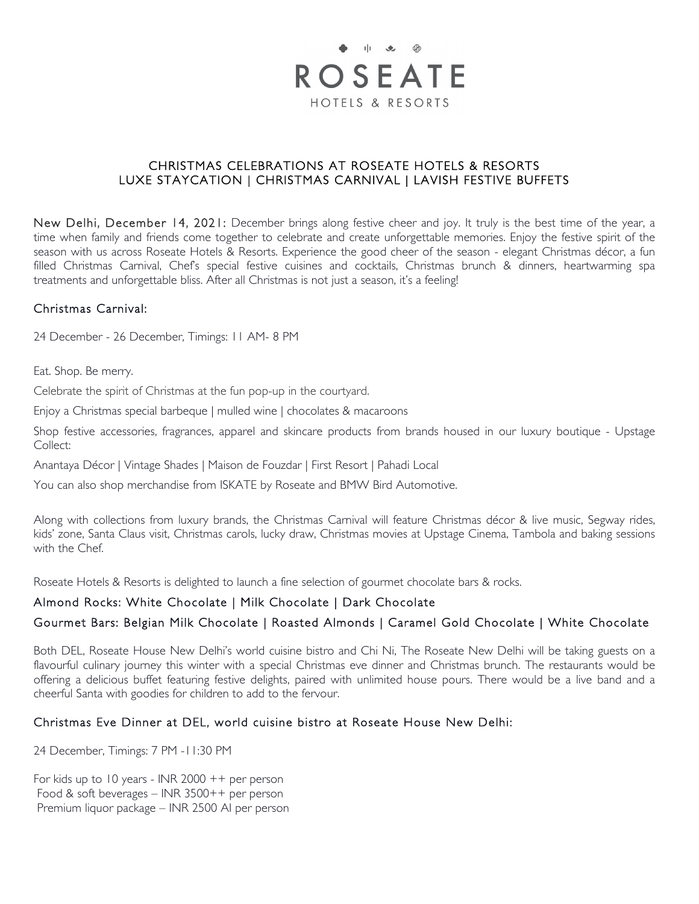

### CHRISTMAS CELEBRATIONS AT ROSEATE HOTELS & RESORTS LUXE STAYCATION | CHRISTMAS CARNIVAL | LAVISH FESTIVE BUFFETS

New Delhi, December 14, 2021: December brings along festive cheer and joy. It truly is the best time of the year, a time when family and friends come together to celebrate and create unforgettable memories. Enjoy the festive spirit of the season with us across Roseate Hotels & Resorts. Experience the good cheer of the season - elegant Christmas décor, a fun filled Christmas Carnival, Chef's special festive cuisines and cocktails, Christmas brunch & dinners, heartwarming spa treatments and unforgettable bliss. After all Christmas is not just a season, it's a feeling!

## Christmas Carnival:

24 December - 26 December, Timings: 11 AM- 8 PM

Eat. Shop. Be merry.

Celebrate the spirit of Christmas at the fun pop-up in the courtyard.

Enjoy a Christmas special barbeque | mulled wine | chocolates & macaroons

Shop festive accessories, fragrances, apparel and skincare products from brands housed in our luxury boutique - Upstage Collect:

Anantaya Décor | Vintage Shades | Maison de Fouzdar | First Resort | Pahadi Local

You can also shop merchandise from ISKATE by Roseate and BMW Bird Automotive.

Along with collections from luxury brands, the Christmas Carnival will feature Christmas décor & live music, Segway rides, kids' zone, Santa Claus visit, Christmas carols, lucky draw, Christmas movies at Upstage Cinema, Tambola and baking sessions with the Chef.

Roseate Hotels & Resorts is delighted to launch a fine selection of gourmet chocolate bars & rocks.

## Almond Rocks: White Chocolate | Milk Chocolate | Dark Chocolate

# Gourmet Bars: Belgian Milk Chocolate | Roasted Almonds | Caramel Gold Chocolate | White Chocolate

Both DEL, Roseate House New Delhi's world cuisine bistro and Chi Ni, The Roseate New Delhi will be taking guests on a flavourful culinary journey this winter with a special Christmas eve dinner and Christmas brunch. The restaurants would be offering a delicious buffet featuring festive delights, paired with unlimited house pours. There would be a live band and a cheerful Santa with goodies for children to add to the fervour.

## Christmas Eve Dinner at DEL, world cuisine bistro at Roseate House New Delhi:

24 December, Timings: 7 PM -11:30 PM

For kids up to 10 years - INR 2000  $++$  per person Food & soft beverages – INR 3500++ per person Premium liquor package – INR 2500 AI per person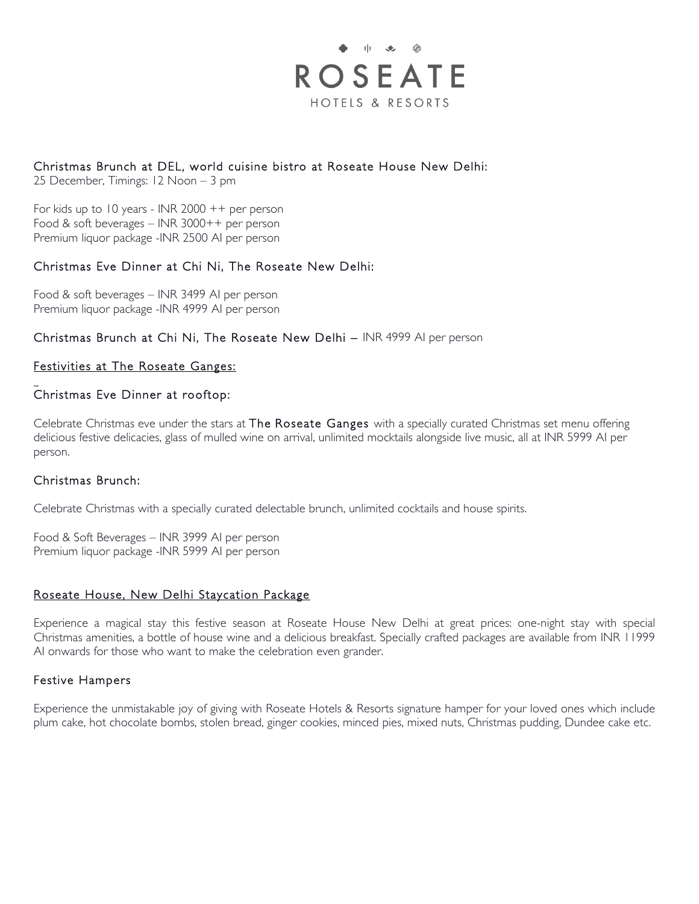

# Christmas Brunch at DEL, world cuisine bistro at Roseate House New Delhi:

25 December, Timings: 12 Noon – 3 pm

For kids up to 10 years - INR 2000 ++ per person Food & soft beverages – INR 3000++ per person Premium liquor package -INR 2500 AI per person

### Christmas Eve Dinner at Chi Ni, The Roseate New Delhi:

Food & soft beverages – INR 3499 AI per person Premium liquor package -INR 4999 AI per person

Christmas Brunch at Chi Ni, The Roseate New Delhi – INR 4999 AI per person

# Festivities at The Roseate Ganges:

### Christmas Eve Dinner at rooftop:

Celebrate Christmas eve under the stars at The Roseate Ganges with a specially curated Christmas set menu offering delicious festive delicacies, glass of mulled wine on arrival, unlimited mocktails alongside live music, all at INR 5999 AI per person.

#### Christmas Brunch:

 $\overline{a}$ 

Celebrate Christmas with a specially curated delectable brunch, unlimited cocktails and house spirits.

Food & Soft Beverages – INR 3999 AI per person Premium liquor package -INR 5999 AI per person

#### Roseate House, New Delhi Staycation Package

Experience a magical stay this festive season at Roseate House New Delhi at great prices: one-night stay with special Christmas amenities, a bottle of house wine and a delicious breakfast. Specially crafted packages are available from INR 11999 AI onwards for those who want to make the celebration even grander.

#### Festive Hampers

Experience the unmistakable joy of giving with Roseate Hotels & Resorts signature hamper for your loved ones which include plum cake, hot chocolate bombs, stolen bread, ginger cookies, minced pies, mixed nuts, Christmas pudding, Dundee cake etc.